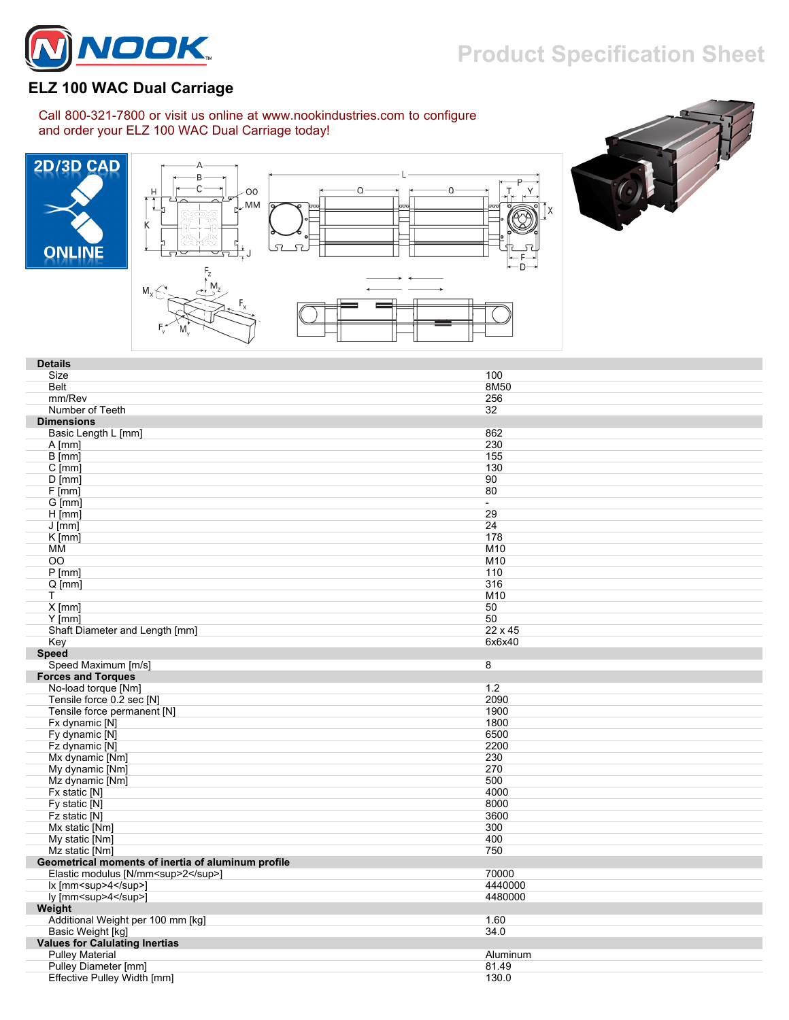## **Product Specification Sheet**



## **ELZ 100 WAC Dual Carriage**

Call 800-321-7800 or visit us online at www.nookindustries.com to configure and order your ELZ 100 WAC Dual Carriage today!







| <b>Details</b>                                      |                          |
|-----------------------------------------------------|--------------------------|
| Size                                                | 100                      |
| <b>Belt</b>                                         | 8M50                     |
| mm/Rev                                              | 256                      |
| Number of Teeth                                     | 32                       |
| <b>Dimensions</b>                                   |                          |
|                                                     | 862                      |
| Basic Length L [mm]                                 |                          |
| $A$ [mm]                                            | 230                      |
| $B$ [mm]                                            | 155                      |
| $\overline{C}$ [mm]                                 | 130                      |
| $D$ [mm]                                            | 90                       |
| $F$ [mm]                                            | 80                       |
| G [mm]                                              | $\overline{\phantom{a}}$ |
| $H$ [mm]                                            | 29                       |
| $J$ [mm]                                            | 24                       |
| $K$ [mm]                                            | 178                      |
| ΜМ                                                  | M10                      |
| OO                                                  | M10                      |
| $P$ [mm]                                            | 110                      |
| $Q$ [mm]                                            | 316                      |
| T                                                   | M10                      |
| $X$ [mm]                                            | 50                       |
| $Y$ [mm]                                            | 50                       |
| Shaft Diameter and Length [mm]                      | 22 x 45                  |
| Key                                                 | 6x6x40                   |
| <b>Speed</b>                                        |                          |
| Speed Maximum [m/s]                                 | 8                        |
| <b>Forces and Torques</b>                           |                          |
|                                                     |                          |
| No-load torque [Nm]                                 | 1.2                      |
| Tensile force 0.2 sec [N]                           | 2090                     |
| Tensile force permanent [N]                         | 1900                     |
| Fx dynamic [N]                                      | 1800                     |
| Fy dynamic [N]                                      | 6500                     |
| Fz dynamic [N]                                      | 2200                     |
|                                                     |                          |
| Mx dynamic [Nm]                                     | 230<br>270               |
| My dynamic [Nm]                                     | 500                      |
| Mz dynamic [Nm]                                     |                          |
| Fx static [N]                                       | 4000                     |
| Fy static [N]                                       | 8000                     |
| Fz static [N]                                       | 3600                     |
| Mx static [Nm]                                      | 300                      |
| My static [Nm]                                      | 400                      |
| Mz static [Nm]                                      | 750                      |
| Geometrical moments of inertia of aluminum profile  |                          |
| Elastic modulus [N/mm <sup>2</sup> ]                | 70000                    |
| lx [mm <sup>4</sup> ]                               | 4440000                  |
| ly [mm <sup>4</sup> ]                               | 4480000                  |
| Weight                                              |                          |
| Additional Weight per 100 mm [kg]                   | 1.60                     |
| Basic Weight [kg]                                   | 34.0                     |
| <b>Values for Calulating Inertias</b>               |                          |
| <b>Pulley Material</b>                              | Aluminum                 |
| Pulley Diameter [mm]<br>Effective Pulley Width [mm] | 81.49<br>130.0           |